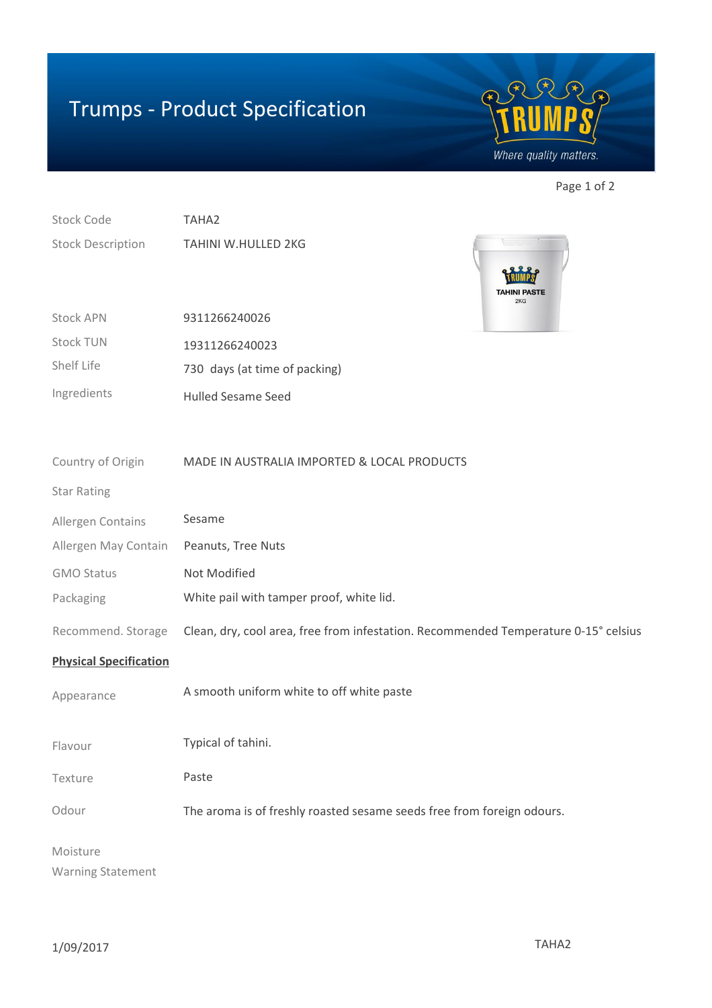## Trumps - Product Specification



Page 1 of 2

Stock Code Stock Description TAHA2 TAHINI W.HULLED 2KG



| <b>Stock APN</b> | 9311266240026                 |
|------------------|-------------------------------|
| <b>Stock TUN</b> | 19311266240023                |
| Shelf Life       | 730 days (at time of packing) |
| Ingredients      | <b>Hulled Sesame Seed</b>     |

| Country of Origin             | MADE IN AUSTRALIA IMPORTED & LOCAL PRODUCTS                                         |
|-------------------------------|-------------------------------------------------------------------------------------|
| <b>Star Rating</b>            |                                                                                     |
| Allergen Contains             | Sesame                                                                              |
| Allergen May Contain          | Peanuts, Tree Nuts                                                                  |
| <b>GMO Status</b>             | Not Modified                                                                        |
| Packaging                     | White pail with tamper proof, white lid.                                            |
| Recommend. Storage            | Clean, dry, cool area, free from infestation. Recommended Temperature 0-15° celsius |
| <b>Physical Specification</b> |                                                                                     |
| Appearance                    | A smooth uniform white to off white paste                                           |
| Flavour                       | Typical of tahini.                                                                  |
| Texture                       | Paste                                                                               |
| Odour                         | The aroma is of freshly roasted sesame seeds free from foreign odours.              |
| Moisture                      |                                                                                     |
| <b>Warning Statement</b>      |                                                                                     |